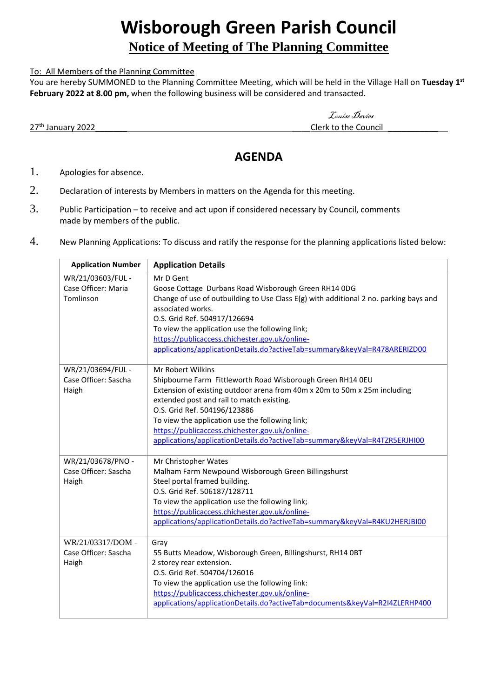# **Wisborough Green Parish Council**

## **Notice of Meeting of The Planning Committee**

#### To: All Members of the Planning Committee

You are hereby SUMMONED to the Planning Committee Meeting, which will be held in the Village Hall on **Tuesday 1 st February 2022 at 8.00 pm,** when the following business will be considered and transacted.

27<sup>th</sup> January 2022 **2008** 2022 **27th** January 2022

Louise Davies

## **AGENDA**

- 1. Apologies for absence.
- 2. Declaration of interests by Members in matters on the Agenda for this meeting.
- 3. Public Participation to receive and act upon if considered necessary by Council, comments made by members of the public.
- 4. New Planning Applications: To discuss and ratify the response for the planning applications listed below:

| <b>Application Number</b> | <b>Application Details</b>                                                            |
|---------------------------|---------------------------------------------------------------------------------------|
| WR/21/03603/FUL -         | Mr D Gent                                                                             |
| Case Officer: Maria       | Goose Cottage Durbans Road Wisborough Green RH14 ODG                                  |
| Tomlinson                 | Change of use of outbuilding to Use Class E(g) with additional 2 no. parking bays and |
|                           | associated works.                                                                     |
|                           | O.S. Grid Ref. 504917/126694                                                          |
|                           | To view the application use the following link;                                       |
|                           | https://publicaccess.chichester.gov.uk/online-                                        |
|                           | applications/applicationDetails.do?activeTab=summary&keyVal=R478ARERIZD00             |
| WR/21/03694/FUL -         | Mr Robert Wilkins                                                                     |
| Case Officer: Sascha      | Shipbourne Farm Fittleworth Road Wisborough Green RH14 OEU                            |
| Haigh                     | Extension of existing outdoor arena from 40m x 20m to 50m x 25m including             |
|                           | extended post and rail to match existing.                                             |
|                           | O.S. Grid Ref. 504196/123886                                                          |
|                           | To view the application use the following link;                                       |
|                           | https://publicaccess.chichester.gov.uk/online-                                        |
|                           | applications/applicationDetails.do?activeTab=summary&keyVal=R4TZR5ERJHI00             |
| WR/21/03678/PNO -         | Mr Christopher Wates                                                                  |
| Case Officer: Sascha      | Malham Farm Newpound Wisborough Green Billingshurst                                   |
| Haigh                     | Steel portal framed building.                                                         |
|                           | O.S. Grid Ref. 506187/128711                                                          |
|                           | To view the application use the following link;                                       |
|                           | https://publicaccess.chichester.gov.uk/online-                                        |
|                           | applications/applicationDetails.do?activeTab=summary&keyVal=R4KU2HERJBI00             |
| WR/21/03317/DOM -         | Gray                                                                                  |
| Case Officer: Sascha      | 55 Butts Meadow, Wisborough Green, Billingshurst, RH14 OBT                            |
| Haigh                     | 2 storey rear extension.                                                              |
|                           | O.S. Grid Ref. 504704/126016                                                          |
|                           | To view the application use the following link:                                       |
|                           | https://publicaccess.chichester.gov.uk/online-                                        |
|                           | applications/applicationDetails.do?activeTab=documents&keyVal=R2I4ZLERHP400           |
|                           |                                                                                       |